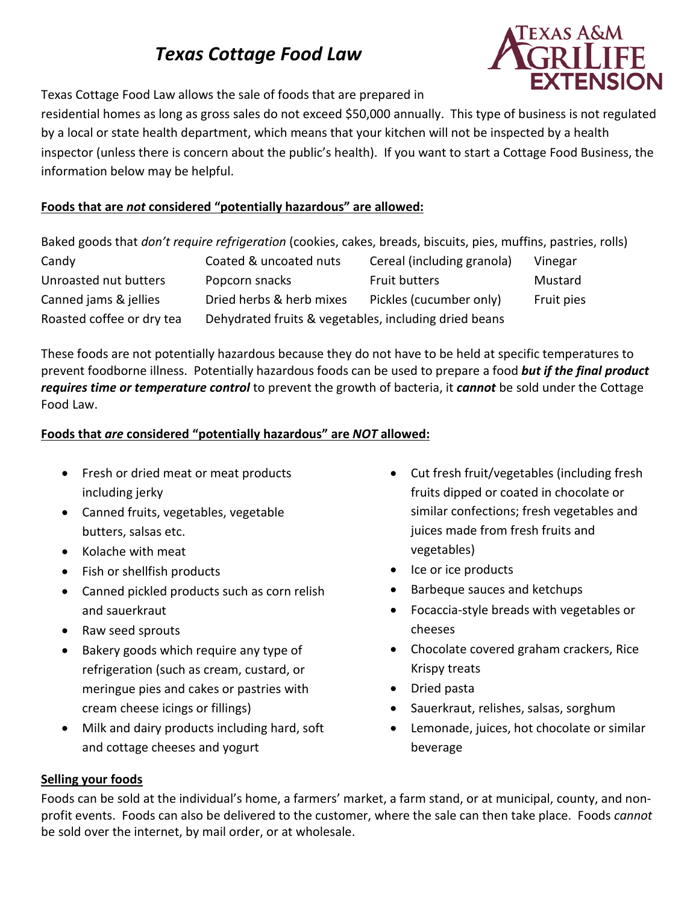# *Texas Cottage Food Law*



Texas Cottage Food Law allows the sale of foods that are prepared in

residential homes as long as gross sales do not exceed \$50,000 annually. This type of business is not regulated by a local or state health department, which means that your kitchen will not be inspected by a health inspector (unless there is concern about the public's health). If you want to start a Cottage Food Business, the information below may be helpful.

# **Foods that are** *not* **considered "potentially hazardous" are allowed:**

Baked goods that *don't require refrigeration* (cookies, cakes, breads, biscuits, pies, muffins, pastries, rolls) Candy Coated & uncoated nuts Cereal (including granola) Vinegar Unroasted nut butters Popcorn snacks Fruit butters Mustard Canned jams & jellies Dried herbs & herb mixes Pickles (cucumber only) Fruit pies Roasted coffee or dry tea Dehydrated fruits & vegetables, including dried beans

These foods are not potentially hazardous because they do not have to be held at specific temperatures to prevent foodborne illness. Potentially hazardous foods can be used to prepare a food *but if the final product requires time or temperature control* to prevent the growth of bacteria, it *cannot* be sold under the Cottage Food Law.

## **Foods that** *are* **considered "potentially hazardous" are** *NOT* **allowed:**

- Fresh or dried meat or meat products including jerky
- Canned fruits, vegetables, vegetable butters, salsas etc.
- Kolache with meat
- Fish or shellfish products
- Canned pickled products such as corn relish and sauerkraut
- Raw seed sprouts
- Bakery goods which require any type of refrigeration (such as cream, custard, or meringue pies and cakes or pastries with cream cheese icings or fillings)
- Milk and dairy products including hard, soft and cottage cheeses and yogurt
- Cut fresh fruit/vegetables (including fresh fruits dipped or coated in chocolate or similar confections; fresh vegetables and juices made from fresh fruits and vegetables)
- Ice or ice products
- Barbeque sauces and ketchups
- Focaccia-style breads with vegetables or cheeses
- Chocolate covered graham crackers, Rice Krispy treats
- Dried pasta
- Sauerkraut, relishes, salsas, sorghum
- Lemonade, juices, hot chocolate or similar beverage

#### **Selling your foods**

Foods can be sold at the individual's home, a farmers' market, a farm stand, or at municipal, county, and nonprofit events. Foods can also be delivered to the customer, where the sale can then take place. Foods *cannot* be sold over the internet, by mail order, or at wholesale.